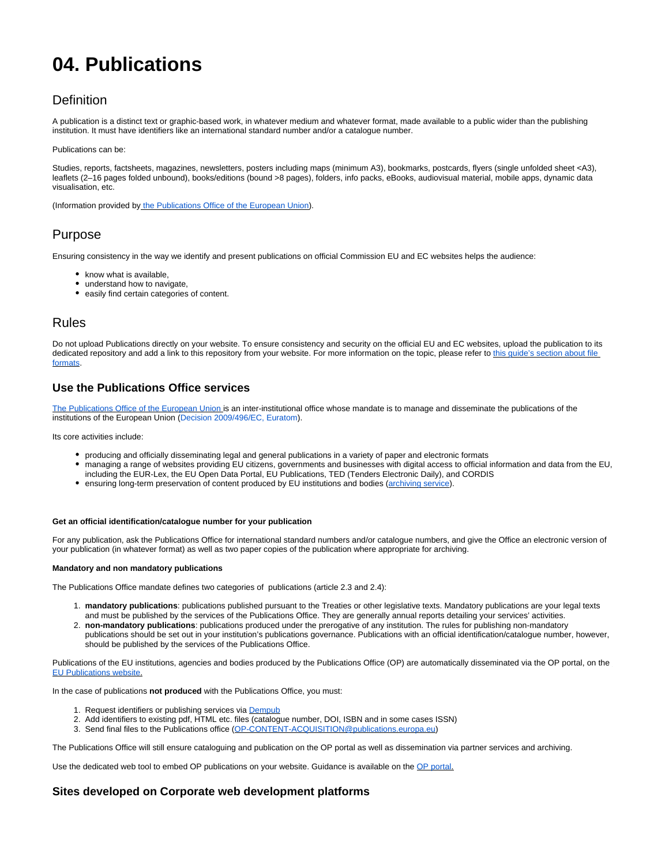# **04. Publications**

# **Definition**

A publication is a distinct text or graphic-based work, in whatever medium and whatever format, made available to a public wider than the publishing institution. It must have identifiers like an international standard number and/or a catalogue number.

#### Publications can be:

Studies, reports, factsheets, magazines, newsletters, posters including maps (minimum A3), bookmarks, postcards, flyers (single unfolded sheet <A3), leaflets (2–16 pages folded unbound), books/editions (bound >8 pages), folders, info packs, eBooks, audiovisual material, mobile apps, dynamic data visualisation, etc.

(Information provided by [the Publications Office of the European Union\)](https://op.europa.eu/en/home).

# Purpose

Ensuring consistency in the way we identify and present publications on official Commission EU and EC websites helps the audience:

- know what is available.
- understand how to navigate,
- easily find certain categories of content.

## Rules

Do not upload Publications directly on your website. To ensure consistency and security on the official EU and EC websites, upload the publication to its dedicated repository and add a link to this repository from your website. For more information on the topic, please refer to this guide's section about file [formats](https://wikis.ec.europa.eu/display/WEBGUIDE/02.+File+formats)

## **Use the Publications Office services**

[The Publications Office of the European Union](https://op.europa.eu) is an inter-institutional office whose mandate is to manage and disseminate the publications of the institutions of the European Union [\(Decision 2009/496/EC, Euratom](http://eur-lex.europa.eu/legal-content/EN/TXT/?qid=1425380943945&uri=CELEX:32009D0496)).

Its core activities include:

- producing and officially disseminating legal and general publications in a variety of paper and electronic formats
- managing a range of websites providing EU citizens, governments and businesses with digital access to official information and data from the EU,
- including the EUR-Lex, the EU Open Data Portal, EU Publications, TED (Tenders Electronic Daily), and CORDIS
- **•** ensuring long-term preservation of content produced by EU institutions and bodies ([archiving service\)](https://wikis.ec.europa.eu/display/WEBGUIDE/01.+Archiving).

#### **Get an official identification/catalogue number for your publication**

For any publication, ask the Publications Office for international standard numbers and/or catalogue numbers, and give the Office an electronic version of your publication (in whatever format) as well as two paper copies of the publication where appropriate for archiving.

#### **Mandatory and non mandatory publications**

The Publications Office mandate defines two categories of publications (article 2.3 and 2.4):

- 1. **mandatory publications**: publications published pursuant to the Treaties or other legislative texts. Mandatory publications are your legal texts and must be published by the services of the Publications Office. They are generally annual reports detailing your services' activities.
- 2. **non-mandatory publications**: publications produced under the prerogative of any institution. The rules for publishing non-mandatory publications should be set out in your institution's publications governance. Publications with an official identification/catalogue number, however, should be published by the services of the Publications Office.

Publications of the EU institutions, agencies and bodies produced by the Publications Office (OP) are automatically disseminated via the OP portal, on the [EU Publications website](https://op.europa.eu/en/web/general-publications/publications).

In the case of publications **not produced** with the Publications Office, you must:

- 1. Request identifiers or publishing services via [Dempub](https://op.europa.eu/web/Dempubweb/Dempub)
- 2. Add identifiers to existing pdf, HTML etc. files (catalogue number, DOI, ISBN and in some cases ISSN)
- 3. Send final files to the Publications office ([OP-CONTENT-ACQUISITION@publications.europa.eu\)](mailto:OP-CONTENT-ACQUISITION@publications.europa.eu)

The Publications Office will still ensure cataloguing and publication on the OP portal as well as dissemination via partner services and archiving.

Use the dedicated web tool to embed OP publications on your website. Guidance is available on the [OP portal](https://op.europa.eu/en/web/web-tools/).

## **Sites developed on Corporate web development platforms**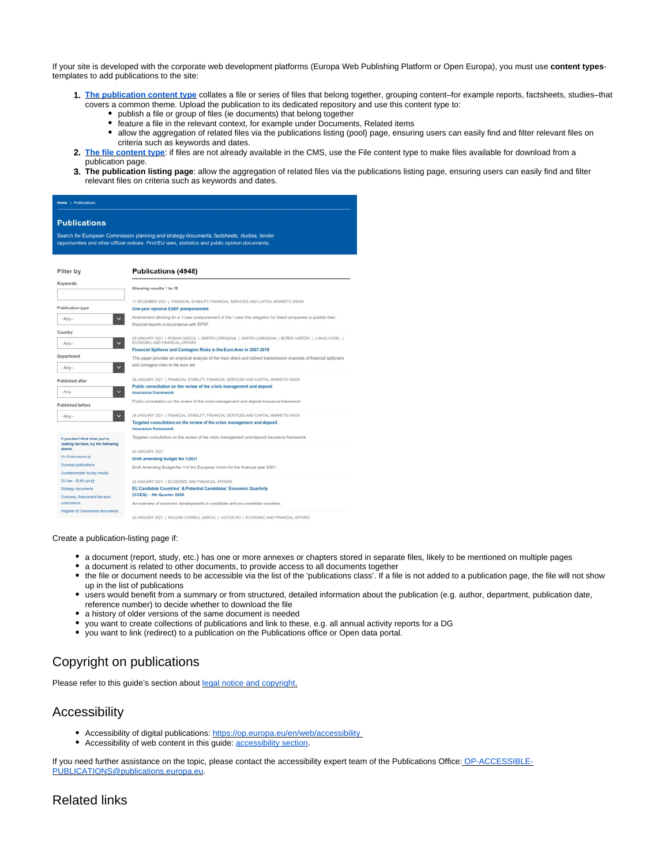If your site is developed with the corporate web development platforms (Europa Web Publishing Platform or Open Europa), you must use **content types**templates to add publications to the site:

- 1. **[The publication content type](https://webgate.ec.europa.eu/fpfis/wikis/display/WEBRAT/Publication)** collates a file or series of files that belong together, grouping content–for example reports, factsheets, studies–that covers a common theme. Upload the publication to its dedicated repository and use this content type to:
	- publish a file or group of files (ie documents) that belong together
	- feature a file in the relevant context, for example under Documents, Related items
	- allow the aggregation of related files via the publications listing (pool) page, ensuring users can easily find and filter relevant files on criteria such as keywords and dates.
- 2. **[The file content type](https://webgate.ec.europa.eu/fpfis/wikis/display/WEBRAT/File+content+type)**: if files are not already available in the CMS, use the File content type to make files available for download from a publication page.
- 3. **The publication listing page**: allow the aggregation of related files via the publications listing page, ensuring users can easily find and filter relevant files on criteria such as keywords and dates.

#### **Publications**

me > Publicatio

Search for European Commission planning and strategy documents, factsheets, studies, tender<br>opportunities and other official notices. Find EU laws, statistics and public opinion documents.

| Keywords                                                             | Showing results 1 to 10                                                                                                                                       |
|----------------------------------------------------------------------|---------------------------------------------------------------------------------------------------------------------------------------------------------------|
|                                                                      | 11 DECEMBER 2021   FINANCIAL STABILITY, FINANCIAL SERVICES AND CAPITAL MARKETS UNION                                                                          |
| Publication type                                                     | One-year optional ESEF postponement                                                                                                                           |
| $\ddot{}$<br>$-$ Any $-$                                             | Amendment allowing for a 1-year postponement of the 1-year the obligation for listed companies to publish their<br>financial reports in accordance with EPSF. |
| Country                                                              |                                                                                                                                                               |
| $\checkmark$<br>$-$ Any $-$                                          | 29 JANUARY 2021   ROMAN GARGIA   DIMITRI LORENZANI   DIMITRI LORENZANI   BOŘEK VAŠÍČEK   LUKAS VOGEL  <br>ECONOMIC AND FINANCIAL AFFAIRS                      |
|                                                                      | Financial Spillover and Contagion Risks in the Euro Area in 2007-2019                                                                                         |
| Department                                                           | This paper provides an empirical analysis of the main direct and indirect transmission channels of financial spillovers                                       |
| $\checkmark$<br>$-$ Any $-$                                          | and contagion risks in the euro are                                                                                                                           |
| Published after                                                      | 26 JANUARY 2021   FINANCIAL STABILITY, FINANCIAL SERVICES AND CAPITAL MARKETS UNION                                                                           |
| $\checkmark$<br>$-Any -$                                             | Public consultation on the review of the crisis management and deposit<br>insurance framework                                                                 |
| Published before                                                     | Public consultation on the review of the crisis management and deposit insurance framework                                                                    |
| $\checkmark$<br>$-$ Any $-$                                          | 26 JANUARY 2021   FINANCIAL STABILITY, FINANCIAL SERVICES AND CAPITAL MARKETS UNION                                                                           |
|                                                                      | Targeted consultation on the review of the crisis management and deposit<br>insurance framework                                                               |
| If you don't find what you're<br>looking for here, try the following | Targeted consultation on the review of the crisis management and deposit insurance framework                                                                  |
| places                                                               | 22 JANUARY 2021                                                                                                                                               |
| EU Publications [3]                                                  | Draft amending budget No 1/2021                                                                                                                               |
| Eurostat publications                                                | Draft Amending Budget No 1 of the European Union for the financial year 2021.                                                                                 |
| Eurobarometer survey results                                         |                                                                                                                                                               |
| EU law - EUR-Lex [ 5]                                                | 22 JANUARY 2021   ECONOMIC AND FINANCIAL AFFAIRS                                                                                                              |
| Strategy documents                                                   | EU Candidate Countries' & Potential Candidates' Economic Quarterly                                                                                            |
| Economy, finance and the euro                                        | (CCEQ) - 4th Quarter 2020                                                                                                                                     |
| publications                                                         | An overview of economic developments in candidate and pre-candidate countries.                                                                                |
| Register of Commission documents                                     |                                                                                                                                                               |
|                                                                      | 22 JANUARY 2021   WILLIAM CONNELL GARCIA   VICTOR HO   ECONOMIC AND FINANCIAL AFFAIRS                                                                         |

#### Create a publication-listing page if:

- a document (report, study, etc.) has one or more annexes or chapters stored in separate files, likely to be mentioned on multiple pages
- a document is related to other documents, to provide access to all documents together
- the file or document needs to be accessible via the list of the 'publications class'. If a file is not added to a publication page, the file will not show up in the list of publications
- users would benefit from a summary or from structured, detailed information about the publication (e.g. author, department, publication date, reference number) to decide whether to download the file
- a history of older versions of the same document is needed
- you want to create collections of publications and link to these, e.g. all annual activity reports for a DG
- you want to link (redirect) to a publication on the Publications office or Open data portal.

# Copyright on publications

Please refer to this guide's section about [legal notice and copyright](https://wikis.ec.europa.eu/display/WEBGUIDE/03.+Legal+notice+and+copyright).

# Accessibility

- Accessibility of digital publications: <https://op.europa.eu/en/web/accessibility>
- Accessibility of web content in this guide: [accessibility section.](https://wikis.ec.europa.eu/display/WEBGUIDE/12.+Accessibility)

If you need further assistance on the topic, please contact the accessibility expert team of the Publications Office: [OP-ACCESSIBLE-](mailto:OP-ACCESSIBLE-PUBLICATIONS@publications.europa.eu)[PUBLICATIONS@publications.europa.eu](mailto:OP-ACCESSIBLE-PUBLICATIONS@publications.europa.eu).

# Related links